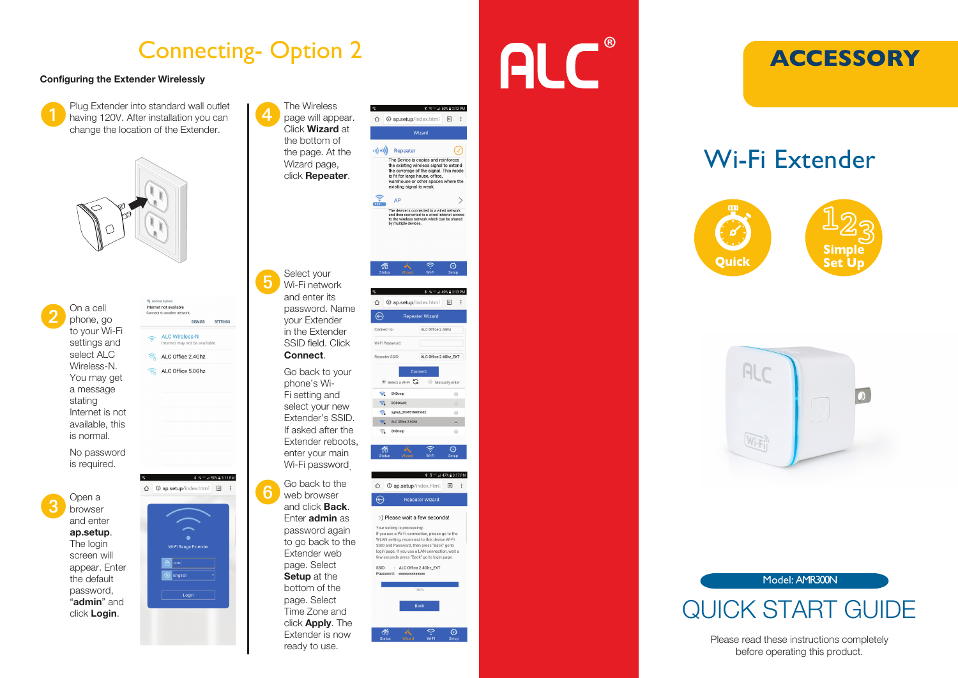## Connecting- Option 2

#### Configuring the Extender Wirelessly

Plug Extender into standard wall outlet<br>having 120V. After installation you can<br>have a location of the Extender change the location of the Extender.





No password is required.

3 Open a<br>
browser and enter ap.setup. The login screen will appear. Enter the default password,<br>"admin" and click Login.

**C** Android Ourin Internet not available apost to another nature **DISMISS SETTINGS ALC Wireless-N**  $\hat{e}$ Internet may not he available  $\widehat{\mathbb{R}}$  ALC Office 2.4Ghz  $\widehat{\mathbb{R}}$  ALC Office 5.0Ghz  $x \leq 150$ % 2.311 PM ↑ **①** ap.setup/index.htm<sup>2</sup> [6] : **Wi-Fi Range Extender**  $\overline{\odot}$  English

 $L$ onin



\$ ? = 47% 3:17 PM :-) Please wait a few seconds! Vour eatting is propagging

If you use a Wi-Fi connection, please go to the WLAN setting, reconnect to this device Wi-Fi SSID and Password, then press "Back" go to login page. If you use a LAN connection, wait a few seconds press "Back" go to login page.

 $ssin$ : ALC Office 2.4Ghz\_EXT



Enter admin as password again to go back to the Extender web page. Select Setup at the bottom of the page. Select Time Zone and click **Apply**. The Extender is now ready to use.

# **ALC**



# Wi-Fi Extender









# QUICK START GUIDE

Please read these instructions completely before operating this product.